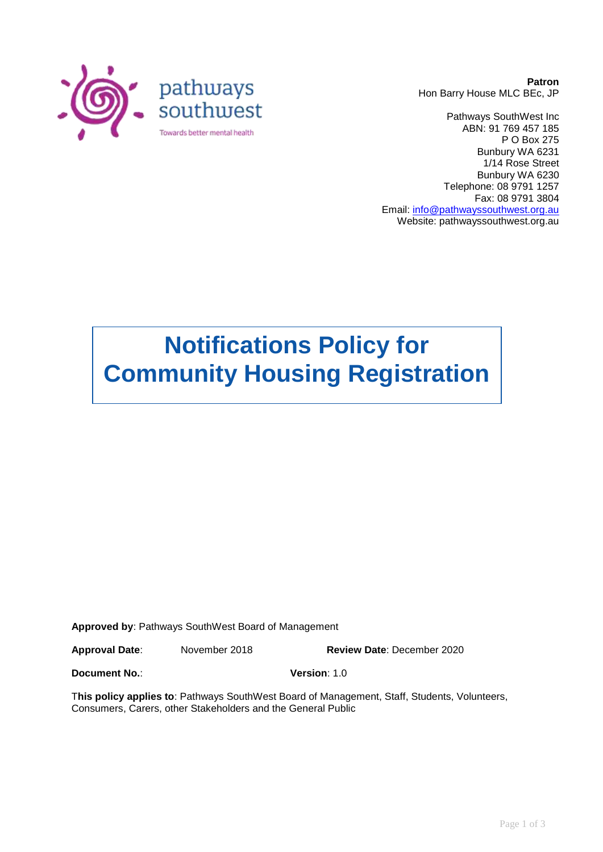

**Patron** Hon Barry House MLC BEc, JP

Pathways SouthWest Inc ABN: 91 769 457 185 P O Box 275 Bunbury WA 6231 1/14 Rose Street Bunbury WA 6230 Telephone: 08 9791 1257 Fax: 08 9791 3804 Email: [info@pathwayssouthwest.org.au](mailto:info@pathwayssouthwest.org.au) Website: pathwayssouthwest.org.au

# **Notifications Policy for Community Housing Registration**

**Approved by**: Pathways SouthWest Board of Management

**Approval Date**: November 2018 **Review Date**: December 2020

**Document No.**: **Version**: 1.0

T**his policy applies to**: Pathways SouthWest Board of Management, Staff, Students, Volunteers, Consumers, Carers, other Stakeholders and the General Public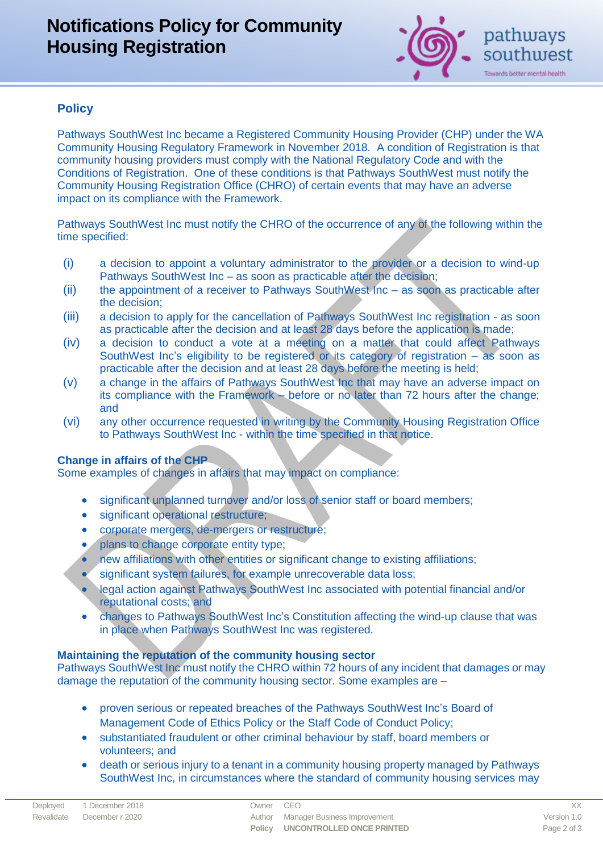# **Notifications Policy for Community Housing Registration**



# **Policy**

Pathways SouthWest Inc became a Registered Community Housing Provider (CHP) under the WA Community Housing Regulatory Framework in November 2018. A condition of Registration is that community housing providers must comply with the National Regulatory Code and with the Conditions of Registration. One of these conditions is that Pathways SouthWest must notify the Community Housing Registration Office (CHRO) of certain events that may have an adverse impact on its compliance with the Framework.

Pathways SouthWest Inc must notify the CHRO of the occurrence of any of the following within the time specified:

- (i) a decision to appoint a voluntary administrator to the provider or a decision to wind-up Pathways SouthWest Inc – as soon as practicable after the decision;
- (ii) the appointment of a receiver to Pathways SouthWest Inc as soon as practicable after the decision;
- (iii) a decision to apply for the cancellation of Pathways SouthWest Inc registration as soon as practicable after the decision and at least 28 days before the application is made;
- (iv) a decision to conduct a vote at a meeting on a matter that could affect Pathways SouthWest Inc's eligibility to be registered or its category of registration – as soon as practicable after the decision and at least 28 days before the meeting is held;
- (v) a change in the affairs of Pathways SouthWest Inc that may have an adverse impact on its compliance with the Framework – before or no later than 72 hours after the change; and
- (vi) any other occurrence requested in writing by the Community Housing Registration Office to Pathways SouthWest Inc - within the time specified in that notice.

## **Change in affairs of the CHP**

Some examples of changes in affairs that may impact on compliance:

- significant unplanned turnover and/or loss of senior staff or board members;
- **•** significant operational restructure;
- corporate mergers, de-mergers or restructure;
- plans to change corporate entity type;
- new affiliations with other entities or significant change to existing affiliations;
- significant system failures, for example unrecoverable data loss;
- legal action against Pathways SouthWest Inc associated with potential financial and/or reputational costs; and
- changes to Pathways SouthWest Inc's Constitution affecting the wind-up clause that was in place when Pathways SouthWest Inc was registered.

#### **Maintaining the reputation of the community housing sector**

Pathways SouthWest Inc must notify the CHRO within 72 hours of any incident that damages or may damage the reputation of the community housing sector. Some examples are –

- proven serious or repeated breaches of the Pathways SouthWest Inc's Board of Management Code of Ethics Policy or the Staff Code of Conduct Policy;
- substantiated fraudulent or other criminal behaviour by staff, board members or volunteers; and
- death or serious injury to a tenant in a community housing property managed by Pathways SouthWest Inc, in circumstances where the standard of community housing services may